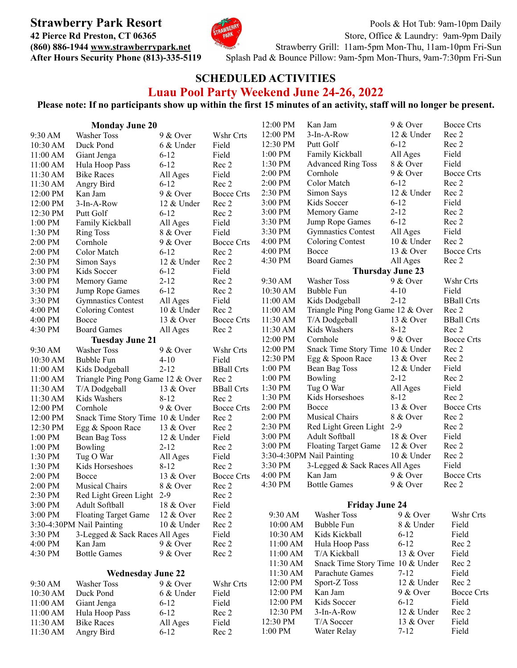

**Strawberry Park Resort** Pools & Hot Tub: 9am-10pm Daily **42 Pierce Rd Preston, CT 06365** Store, Office & Laundry: [9am-9pm](http://www.strawberrypark.net) Daily **(860)** 886-1944 **[www.strawberrypark.net](http://www.strawberrypark.net)** Strawberry Grill: 11am-5pm Mon-Thu, [11am-10pm](http://www.strawberrypark.net) Fri-Sun **After Hours Security Phone (813)-335-5119** [S](http://www.strawberrypark.net)plash Pad & Bounce Pillow: 9am-5pm Mon-Thurs, 9am-7:30pm Fri-Sun

## **SCHEDULED ACTIVITIES Luau Pool Party Weekend June 24-26, 2022**

## Please note: If no participants show up within the first 15 minutes of an activity, staff will no longer be present.

| <b>Monday June 20</b><br>12:00 PM<br>3-In-A-Row<br>12 & Under<br>9:30 AM<br><b>Washer Toss</b><br>$9 & \text{Over}$<br>Wshr Crts       | Rec 2             |
|----------------------------------------------------------------------------------------------------------------------------------------|-------------------|
|                                                                                                                                        |                   |
| 12:30 PM<br>Putt Golf<br>$6-12$<br>10:30 AM<br>Duck Pond<br>6 & Under<br>Field                                                         | Rec 2             |
| $1:00$ PM<br>Family Kickball<br>All Ages<br>Field<br>11:00 AM<br>$6-12$<br>Giant Jenga                                                 | Field             |
| 1:30 PM<br>8 & Over<br><b>Advanced Ring Toss</b><br>$6 - 12$<br>Rec 2<br>11:00 AM<br>Hula Hoop Pass                                    | Field             |
| 2:00 PM<br>Cornhole<br>$9 & \text{Over}$<br>Field<br>11:30 AM<br><b>Bike Races</b><br>All Ages                                         | <b>Bocce Crts</b> |
| 2:00 PM<br>$6 - 12$<br>Color Match<br>$6 - 12$<br>Rec 2<br>11:30 AM<br>Angry Bird                                                      | Rec 2             |
| 2:30 PM<br>Simon Says<br>12 & Under<br>9 & Over<br><b>Bocce Crts</b><br>12:00 PM<br>Kan Jam                                            | Rec 2             |
| 3:00 PM<br>$6 - 12$<br>Kids Soccer<br>Rec 2<br>12:00 PM<br>3-In-A-Row<br>12 & Under                                                    | Field             |
| 3:00 PM<br>$2 - 12$<br>Memory Game<br>$6 - 12$<br>12:30 PM<br>Putt Golf<br>Rec 2                                                       | Rec 2             |
| $6 - 12$<br>3:30 PM<br>Jump Rope Games<br>Field<br>1:00 PM<br>Family Kickball<br>All Ages                                              | Rec 2             |
| 3:30 PM<br><b>Gymnastics Contest</b><br>All Ages<br>1:30 PM<br>Field<br>8 & Over<br><b>Ring Toss</b>                                   | Field             |
| 4:00 PM<br><b>Coloring Contest</b><br>10 & Under<br>2:00 PM<br>Cornhole<br>$9 & \text{Over}$<br><b>Bocce Crts</b>                      | Rec 2             |
| $4:00$ PM<br>Bocce<br>13 & Over<br>2:00 PM<br>$6 - 12$<br>Color Match<br>Rec 2                                                         | <b>Bocce Crts</b> |
| 4:30 PM<br><b>Board Games</b><br>All Ages<br>2:30 PM<br>Simon Says<br>12 & Under<br>Rec 2                                              | Rec 2             |
| 3:00 PM<br>Field<br><b>Thursday June 23</b><br>Kids Soccer<br>$6 - 12$                                                                 |                   |
| $2 - 12$<br>3:00 PM<br>Memory Game<br>Rec 2<br>9:30 AM<br>Washer Toss<br>$9 & \text{Over}$                                             | Wshr Crts         |
| $6 - 12$<br>3:30 PM<br>Jump Rope Games<br>Rec 2<br>10:30 AM<br>Bubble Fun<br>$4 - 10$                                                  | Field             |
| 3:30 PM<br><b>Gymnastics Contest</b><br>All Ages<br>Field<br>$2 - 12$<br>11:00 AM<br>Kids Dodgeball                                    | <b>BBall Crts</b> |
| 11:00 AM<br>Triangle Ping Pong Game 12 & Over<br>4:00 PM<br><b>Coloring Contest</b><br>10 & Under<br>Rec 2                             | Rec 2             |
| 4:00 PM<br>11:30 AM<br>Bocce<br>13 & Over<br><b>Bocce Crts</b><br>T/A Dodgeball<br>13 & Over                                           | <b>BBall Crts</b> |
| 4:30 PM<br><b>Board Games</b><br>11:30 AM<br>Kids Washers<br>$8 - 12$<br>All Ages<br>Rec 2                                             | Rec 2             |
| 9 & Over<br>12:00 PM<br>Cornhole<br><b>Tuesday June 21</b>                                                                             | <b>Bocce Crts</b> |
| 12:00 PM<br>Snack Time Story Time 10 & Under<br><b>Washer Toss</b><br>9:30 AM<br>$9 & \text{Over}$<br>Wshr Crts                        | Rec 2             |
| 12:30 PM<br>Egg & Spoon Race<br>13 & Over<br>Field<br>10:30 AM<br>Bubble Fun<br>$4 - 10$                                               | Rec 2             |
| $1:00$ PM<br>Bean Bag Toss<br>12 & Under<br>$2 - 12$<br><b>BBall Crts</b><br>11:00 AM<br>Kids Dodgeball                                | Field             |
| 1:00 PM<br>$2 - 12$<br>Bowling<br>11:00 AM<br>Triangle Ping Pong Game 12 & Over<br>Rec 2                                               | Rec 2             |
| $1:30$ PM<br>Tug O War<br>All Ages<br>11:30 AM<br>13 & Over<br><b>BBall Crts</b>                                                       | Field             |
| T/A Dodgeball<br>$1:30$ PM<br>Kids Horseshoes<br>$8 - 12$<br>$8 - 12$                                                                  | Rec 2             |
| 11:30 AM<br>Kids Washers<br>Rec 2<br>$2:00$ PM<br>13 & Over<br>Bocce<br>12:00 PM<br>$9 & \text{Over}$<br><b>Bocce Crts</b><br>Cornhole | <b>Bocce Crts</b> |
| Musical Chairs<br>2:00 PM<br>8 & Over<br>12:00 PM<br>Snack Time Story Time 10 & Under<br>Rec 2                                         | Rec 2             |
| 2:30 PM<br>$2 - 9$<br>Red Light Green Light<br>12:30 PM<br>13 & Over<br>Rec 2                                                          | Rec 2             |
| Egg & Spoon Race<br>3:00 PM<br>Adult Softball<br>18 & Over<br>1:00 PM<br>12 & Under<br>Field                                           | Field             |
| Bean Bag Toss<br>3:00 PM<br><b>Floating Target Game</b><br>12 & Over<br>1:00 PM<br>Bowling<br>$2 - 12$<br>Rec 2                        | Rec 2             |
| 3:30-4:30PM Nail Painting<br>10 & Under<br>1:30 PM<br>Tug O War<br>Field                                                               | Rec 2             |
| All Ages<br>3:30 PM<br>3-Legged & Sack Races All Ages<br>1:30 PM<br>Kids Horseshoes<br>$8 - 12$<br>Rec 2                               | Field             |
| 4:00 PM<br>Kan Jam<br>$9 & \text{Over}$<br>2:00 PM<br>Bocce<br>13 & Over<br><b>Bocce Crts</b>                                          | <b>Bocce Crts</b> |
| 4:30 PM<br><b>Bottle Games</b><br>$9 & \text{Over}$<br>2:00 PM<br>Musical Chairs                                                       | Rec 2             |
| 8 & Over<br>Rec 2<br>2:30 PM<br>Red Light Green Light 2-9<br>Rec 2                                                                     |                   |
| Adult Softball<br><b>Friday June 24</b><br>3:00 PM<br>18 & Over                                                                        |                   |
| Field<br>3:00 PM<br><b>Floating Target Game</b><br>12 & Over<br>Rec 2<br>9:30 AM<br>Washer Toss<br>$9 & \text{Over}$                   | Wshr Crts         |
| 3:30-4:30PM Nail Painting<br>Rec 2<br>Bubble Fun<br>8 & Under<br>$10 \&$ Under<br>10:00 AM                                             | Field             |
| 3-Legged & Sack Races All Ages<br>3:30 PM<br>Field<br>Kids Kickball<br>$6 - 12$<br>10:30 AM                                            | Field             |
| $6 - 12$<br>4:00 PM<br>Kan Jam<br>$9 & \text{Over}$<br>Rec 2<br>Hula Hoop Pass<br>11:00 AM                                             | Rec 2             |
| 4:30 PM<br><b>Bottle Games</b><br>$9 & \text{Over}$<br>Rec 2<br>T/A Kickball<br>13 & Over<br>11:00 AM                                  | Field             |
| Snack Time Story Time 10 & Under<br>11:30 AM                                                                                           | Rec 2             |
| $7 - 12$<br>11:30 AM<br>Parachute Games<br><b>Wednesday June 22</b>                                                                    | Field             |
| 12:00 PM<br>Sport-Z Toss<br>12 & Under<br>9:30 AM<br><b>Washer Toss</b><br>$9 & \text{Over}$<br>Wshr Crts                              | Rec 2             |
| Kan Jam<br>12:00 PM<br>$9 & \text{Over}$<br>Duck Pond<br>Field<br>10:30 AM<br>6 & Under                                                | <b>Bocce Crts</b> |
| $6 - 12$<br>12:00 PM<br>Kids Soccer<br>11:00 AM<br>$6 - 12$<br>Giant Jenga<br>Field                                                    | Field             |
| 12:30 PM<br>12 & Under<br>3-In-A-Row<br>$6 - 12$<br>11:00 AM<br>Hula Hoop Pass<br>Rec 2                                                | Rec 2             |
| 12:30 PM<br>T/A Soccer<br>13 & Over<br>11:30 AM<br>Field<br><b>Bike Races</b><br>All Ages                                              | Field             |
| $7 - 12$<br>1:00 PM<br>Water Relay<br>11:30 AM<br>Angry Bird<br>$6 - 12$<br>Rec 2                                                      | Field             |